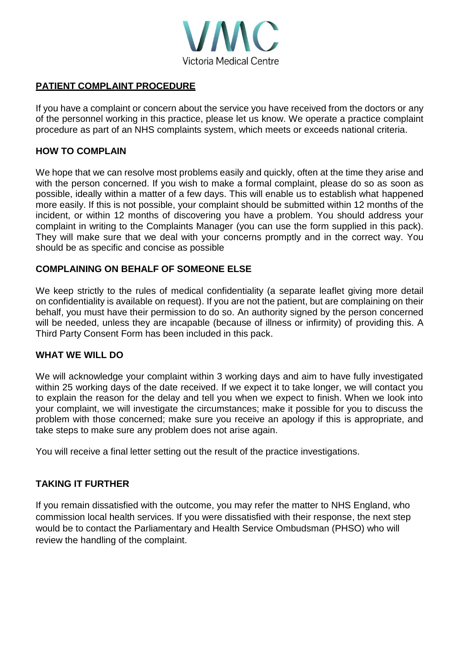

# **PATIENT COMPLAINT PROCEDURE**

If you have a complaint or concern about the service you have received from the doctors or any of the personnel working in this practice, please let us know. We operate a practice complaint procedure as part of an NHS complaints system, which meets or exceeds national criteria.

### **HOW TO COMPLAIN**

We hope that we can resolve most problems easily and quickly, often at the time they arise and with the person concerned. If you wish to make a formal complaint, please do so as soon as possible, ideally within a matter of a few days. This will enable us to establish what happened more easily. If this is not possible, your complaint should be submitted within 12 months of the incident, or within 12 months of discovering you have a problem. You should address your complaint in writing to the Complaints Manager (you can use the form supplied in this pack). They will make sure that we deal with your concerns promptly and in the correct way. You should be as specific and concise as possible

# **COMPLAINING ON BEHALF OF SOMEONE ELSE**

We keep strictly to the rules of medical confidentiality (a separate leaflet giving more detail on confidentiality is available on request). If you are not the patient, but are complaining on their behalf, you must have their permission to do so. An authority signed by the person concerned will be needed, unless they are incapable (because of illness or infirmity) of providing this. A Third Party Consent Form has been included in this pack.

#### **WHAT WE WILL DO**

We will acknowledge your complaint within 3 working days and aim to have fully investigated within 25 working days of the date received. If we expect it to take longer, we will contact you to explain the reason for the delay and tell you when we expect to finish. When we look into your complaint, we will investigate the circumstances; make it possible for you to discuss the problem with those concerned; make sure you receive an apology if this is appropriate, and take steps to make sure any problem does not arise again.

You will receive a final letter setting out the result of the practice investigations.

#### **TAKING IT FURTHER**

If you remain dissatisfied with the outcome, you may refer the matter to NHS England, who commission local health services. If you were dissatisfied with their response, the next step would be to contact the Parliamentary and Health Service Ombudsman (PHSO) who will review the handling of the complaint.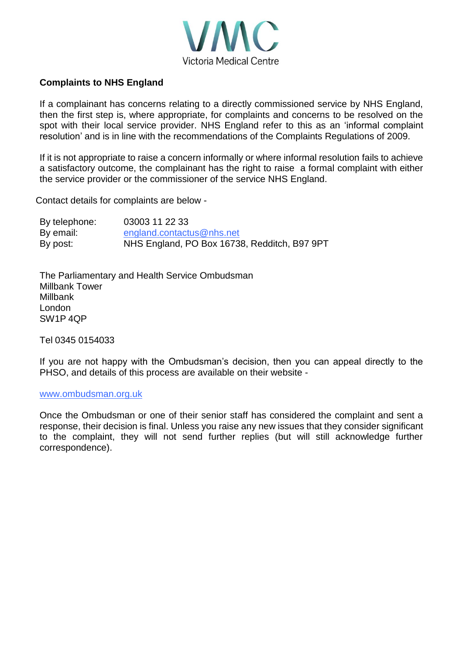

# **Complaints to NHS England**

If a complainant has concerns relating to a directly commissioned service by NHS England, then the first step is, where appropriate, for complaints and concerns to be resolved on the spot with their local service provider. NHS England refer to this as an 'informal complaint resolution' and is in line with the recommendations of the Complaints Regulations of 2009.

If it is not appropriate to raise a concern informally or where informal resolution fails to achieve a satisfactory outcome, the complainant has the right to raise a formal complaint with either the service provider or the commissioner of the service NHS England.

Contact details for complaints are below -

| By telephone: | 03003 11 22 33                               |
|---------------|----------------------------------------------|
| By email:     | england.contactus@nhs.net                    |
| By post:      | NHS England, PO Box 16738, Redditch, B97 9PT |

The Parliamentary and Health Service Ombudsman Millbank Tower Millbank London SW1P 4QP

Tel 0345 0154033

If you are not happy with the Ombudsman's decision, then you can appeal directly to the PHSO, and details of this process are available on their website -

#### [www.ombudsman.org.uk](http://www.ombudsman.org.uk/)

Once the Ombudsman or one of their senior staff has considered the complaint and sent a response, their decision is final. Unless you raise any new issues that they consider significant to the complaint, they will not send further replies (but will still acknowledge further correspondence).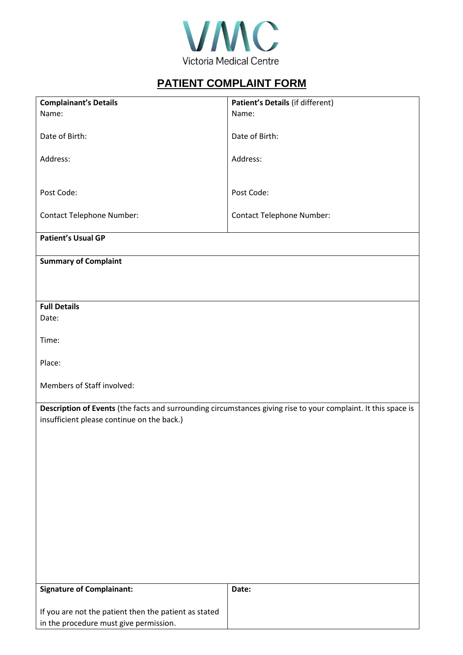

# **PATIENT COMPLAINT FORM**

| <b>Complainant's Details</b>                                                                                   | Patient's Details (if different) |  |  |
|----------------------------------------------------------------------------------------------------------------|----------------------------------|--|--|
| Name:                                                                                                          | Name:                            |  |  |
|                                                                                                                |                                  |  |  |
| Date of Birth:                                                                                                 | Date of Birth:                   |  |  |
|                                                                                                                |                                  |  |  |
| Address:                                                                                                       | Address:                         |  |  |
|                                                                                                                |                                  |  |  |
|                                                                                                                |                                  |  |  |
| Post Code:                                                                                                     | Post Code:                       |  |  |
|                                                                                                                |                                  |  |  |
| <b>Contact Telephone Number:</b>                                                                               | <b>Contact Telephone Number:</b> |  |  |
|                                                                                                                |                                  |  |  |
| <b>Patient's Usual GP</b>                                                                                      |                                  |  |  |
|                                                                                                                |                                  |  |  |
| <b>Summary of Complaint</b>                                                                                    |                                  |  |  |
|                                                                                                                |                                  |  |  |
|                                                                                                                |                                  |  |  |
|                                                                                                                |                                  |  |  |
| <b>Full Details</b>                                                                                            |                                  |  |  |
| Date:                                                                                                          |                                  |  |  |
|                                                                                                                |                                  |  |  |
| Time:                                                                                                          |                                  |  |  |
|                                                                                                                |                                  |  |  |
| Place:                                                                                                         |                                  |  |  |
|                                                                                                                |                                  |  |  |
| Members of Staff involved:                                                                                     |                                  |  |  |
|                                                                                                                |                                  |  |  |
| Description of Events (the facts and surrounding circumstances giving rise to your complaint. It this space is |                                  |  |  |
| insufficient please continue on the back.)                                                                     |                                  |  |  |
|                                                                                                                |                                  |  |  |
|                                                                                                                |                                  |  |  |
|                                                                                                                |                                  |  |  |
|                                                                                                                |                                  |  |  |
|                                                                                                                |                                  |  |  |
|                                                                                                                |                                  |  |  |
|                                                                                                                |                                  |  |  |
|                                                                                                                |                                  |  |  |
|                                                                                                                |                                  |  |  |
|                                                                                                                |                                  |  |  |
|                                                                                                                |                                  |  |  |
|                                                                                                                |                                  |  |  |
|                                                                                                                |                                  |  |  |
|                                                                                                                |                                  |  |  |
| <b>Signature of Complainant:</b>                                                                               | Date:                            |  |  |
|                                                                                                                |                                  |  |  |
| If you are not the patient then the patient as stated                                                          |                                  |  |  |
| in the procedure must give permission.                                                                         |                                  |  |  |